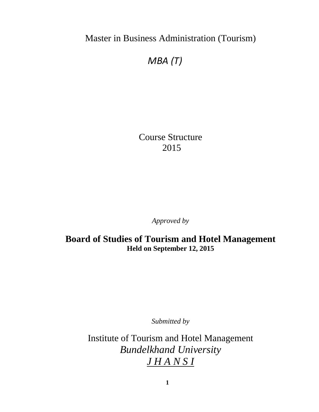Master in Business Administration (Tourism)

# *MBA (T)*

Course Structure 2015

*Approved by* 

**Board of Studies of Tourism and Hotel Management Held on September 12, 2015**

*Submitted by*

Institute of Tourism and Hotel Management *Bundelkhand University J H A N S I*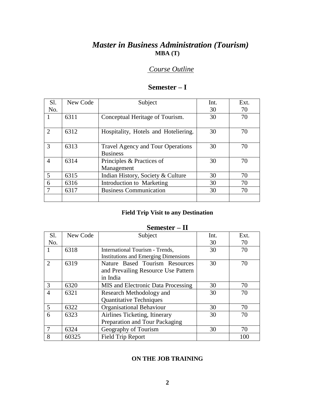## *Master in Business Administration (Tourism)* **MBA (T)**

### *Course Outline*

| Sl.            | New Code | Subject                                                     | Int. | Ext. |
|----------------|----------|-------------------------------------------------------------|------|------|
| No.            |          |                                                             | 30   | 70   |
|                | 6311     | Conceptual Heritage of Tourism.                             | 30   | 70   |
| $\overline{2}$ | 6312     | Hospitality, Hotels and Hoteliering.                        | 30   | 70   |
| 3              | 6313     | <b>Travel Agency and Tour Operations</b><br><b>Business</b> | 30   | 70   |
| $\overline{4}$ | 6314     | Principles & Practices of<br>Management                     | 30   | 70   |
| 5              | 6315     | Indian History, Society & Culture                           | 30   | 70   |
| 6              | 6316     | Introduction to Marketing                                   | 30   | 70   |
| 7              | 6317     | <b>Business Communication</b>                               | 30   | 70   |
|                |          |                                                             |      |      |

## **Semester – I**

#### **Field Trip Visit to any Destination**

| DUMIUDUL       |          |                                             |      |      |
|----------------|----------|---------------------------------------------|------|------|
| Sl.            | New Code | Subject                                     | Int. | Ext. |
| No.            |          |                                             | 30   | 70   |
|                | 6318     | International Tourism - Trends,             | 30   | 70   |
|                |          | <b>Institutions and Emerging Dimensions</b> |      |      |
| 2              | 6319     | Nature Based Tourism Resources              | 30   | 70   |
|                |          | and Prevailing Resource Use Pattern         |      |      |
|                |          | in India                                    |      |      |
| 3              | 6320     | MIS and Electronic Data Processing          | 30   | 70   |
| $\overline{4}$ | 6321     | Research Methodology and                    | 30   | 70   |
|                |          | <b>Quantitative Techniques</b>              |      |      |
| 5              | 6322     | <b>Organisational Behaviour</b>             | 30   | 70   |
| 6              | 6323     | Airlines Ticketing, Itinerary               | 30   | 70   |
|                |          | Preparation and Tour Packaging              |      |      |
|                | 6324     | Geography of Tourism                        | 30   | 70   |
| 8              | 60325    | <b>Field Trip Report</b>                    |      | 100  |

#### **Semester – II**

#### **ON THE JOB TRAINING**